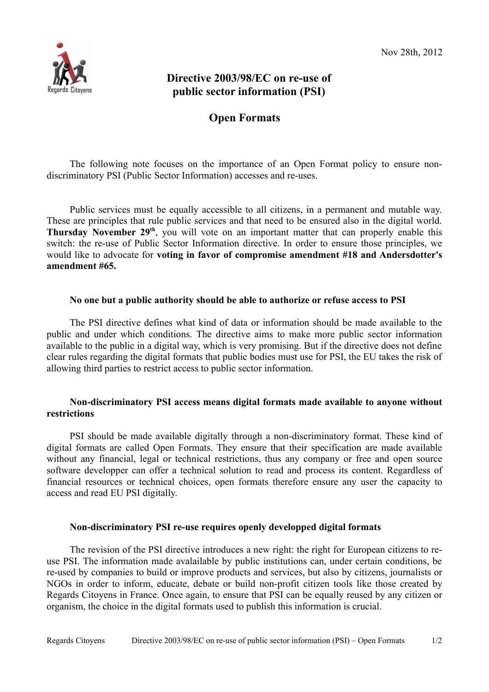

# **Directive 2003/98/EC on re-use of public sector information (PSI)**

## **Open Formats**

The following note focuses on the importance of an Open Format policy to ensure nondiscriminatory PSI (Public Sector Information) accesses and re-uses.

Public services must be equally accessible to all citizens, in a permanent and mutable way. These are principles that rule public services and that need to be ensured also in the digital world. **Thursday November 29th**, you will vote on an important matter that can properly enable this switch: the re-use of Public Sector Information directive. In order to ensure those principles, we would like to advocate for **voting in favor of compromise amendment #18 and Andersdotter's amendment #65.** 

#### **No one but a public authority should be able to authorize or refuse access to PSI**

The PSI directive defines what kind of data or information should be made available to the public and under which conditions. The directive aims to make more public sector information available to the public in a digital way, which is very promising. But if the directive does not define clear rules regarding the digital formats that public bodies must use for PSI, the EU takes the risk of allowing third parties to restrict access to public sector information.

#### **Non-discriminatory PSI access means digital formats made available to anyone without restrictions**

PSI should be made available digitally through a non-discriminatory format. These kind of digital formats are called Open Formats. They ensure that their specification are made available without any financial, legal or technical restrictions, thus any company or free and open source software developper can offer a technical solution to read and process its content. Regardless of financial resources or technical choices, open formats therefore ensure any user the capacity to access and read EU PSI digitally.

### **Non-discriminatory PSI re-use requires openly developped digital formats**

The revision of the PSI directive introduces a new right: the right for European citizens to reuse PSI. The information made avalailable by public institutions can, under certain conditions, be re-used by companies to build or improve products and services, but also by citizens, journalists or NGOs in order to inform, educate, debate or build non-profit citizen tools like those created by Regards Citoyens in France. Once again, to ensure that PSI can be equally reused by any citizen or organism, the choice in the digital formats used to publish this information is crucial.